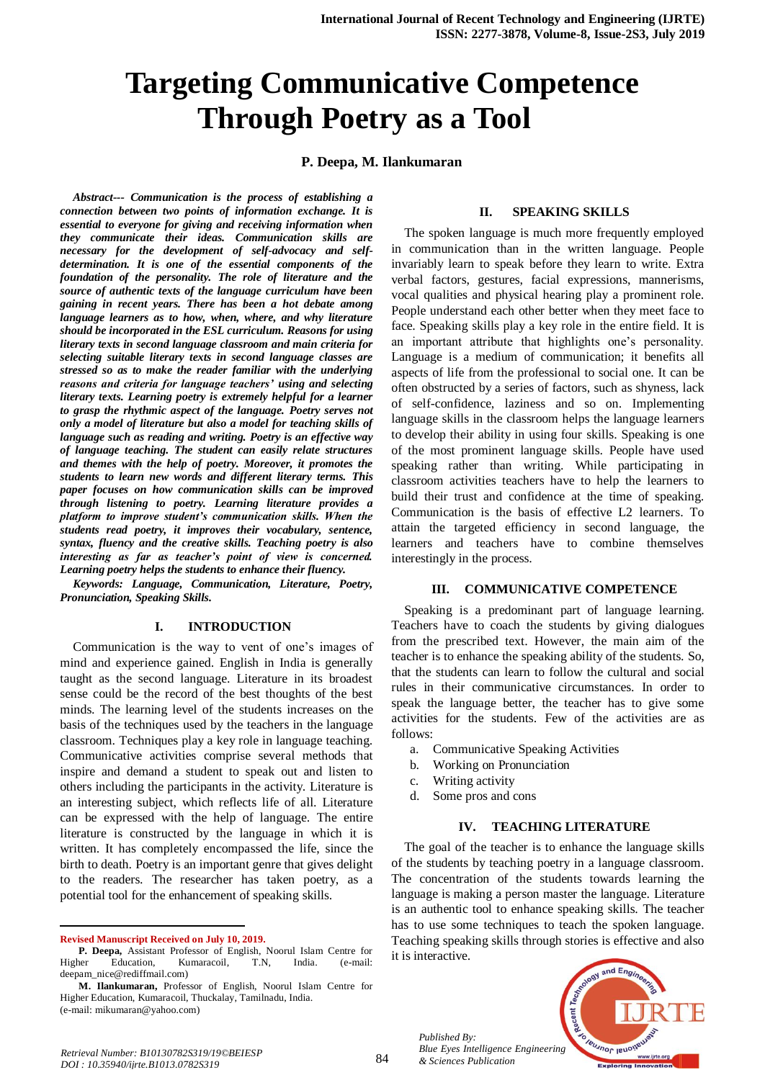# **Targeting Communicative Competence Through Poetry as a Tool**

## **P. Deepa, M. Ilankumaran**

*Abstract--- Communication is the process of establishing a connection between two points of information exchange. It is essential to everyone for giving and receiving information when they communicate their ideas. Communication skills are necessary for the development of self-advocacy and selfdetermination. It is one of the essential components of the foundation of the personality. The role of literature and the source of authentic texts of the language curriculum have been gaining in recent years. There has been a hot debate among language learners as to how, when, where, and why literature should be incorporated in the ESL curriculum. Reasons for using literary texts in second language classroom and main criteria for selecting suitable literary texts in second language classes are stressed so as to make the reader familiar with the underlying reasons and criteria for language teachers' using and selecting literary texts. Learning poetry is extremely helpful for a learner to grasp the rhythmic aspect of the language. Poetry serves not only a model of literature but also a model for teaching skills of language such as reading and writing. Poetry is an effective way of language teaching. The student can easily relate structures and themes with the help of poetry. Moreover, it promotes the students to learn new words and different literary terms. This paper focuses on how communication skills can be improved through listening to poetry. Learning literature provides a platform to improve student's communication skills. When the students read poetry, it improves their vocabulary, sentence, syntax, fluency and the creative skills. Teaching poetry is also interesting as far as teacher's point of view is concerned. Learning poetry helps the students to enhance their fluency.*

*Keywords: Language, Communication, Literature, Poetry, Pronunciation, Speaking Skills.*

#### **I. INTRODUCTION**

Communication is the way to vent of one's images of mind and experience gained. English in India is generally taught as the second language. Literature in its broadest sense could be the record of the best thoughts of the best minds. The learning level of the students increases on the basis of the techniques used by the teachers in the language classroom. Techniques play a key role in language teaching. Communicative activities comprise several methods that inspire and demand a student to speak out and listen to others including the participants in the activity. Literature is an interesting subject, which reflects life of all. Literature can be expressed with the help of language. The entire literature is constructed by the language in which it is written. It has completely encompassed the life, since the birth to death. Poetry is an important genre that gives delight to the readers. The researcher has taken poetry, as a potential tool for the enhancement of speaking skills.

**Revised Manuscript Received on July 10, 2019.**

 $\overline{a}$ 

#### **II. SPEAKING SKILLS**

The spoken language is much more frequently employed in communication than in the written language. People invariably learn to speak before they learn to write. Extra verbal factors, gestures, facial expressions, mannerisms, vocal qualities and physical hearing play a prominent role. People understand each other better when they meet face to face. Speaking skills play a key role in the entire field. It is an important attribute that highlights one's personality. Language is a medium of communication; it benefits all aspects of life from the professional to social one. It can be often obstructed by a series of factors, such as shyness, lack of self-confidence, laziness and so on. Implementing language skills in the classroom helps the language learners to develop their ability in using four skills. Speaking is one of the most prominent language skills. People have used speaking rather than writing. While participating in classroom activities teachers have to help the learners to build their trust and confidence at the time of speaking. Communication is the basis of effective L2 learners. To attain the targeted efficiency in second language, the learners and teachers have to combine themselves interestingly in the process.

#### **III. COMMUNICATIVE COMPETENCE**

Speaking is a predominant part of language learning. Teachers have to coach the students by giving dialogues from the prescribed text. However, the main aim of the teacher is to enhance the speaking ability of the students. So, that the students can learn to follow the cultural and social rules in their communicative circumstances. In order to speak the language better, the teacher has to give some activities for the students. Few of the activities are as follows:

- a. Communicative Speaking Activities
- b. Working on Pronunciation
- c. Writing activity

*Published By:*

*& Sciences Publication* 

d. Some pros and cons

### **IV. TEACHING LITERATURE**

The goal of the teacher is to enhance the language skills of the students by teaching poetry in a language classroom. The concentration of the students towards learning the language is making a person master the language. Literature is an authentic tool to enhance speaking skills. The teacher has to use some techniques to teach the spoken language. Teaching speaking skills through stories is effective and also it is interactive.



**P. Deepa,** Assistant Professor of English, Noorul Islam Centre for Higher Education, Kumaracoil, T.N, India. (e-mail: deepam\_nice@rediffmail.com)

**M. Ilankumaran,** Professor of English, Noorul Islam Centre for Higher Education, Kumaracoil, Thuckalay, Tamilnadu, India. (e-mail: mikumaran@yahoo.com)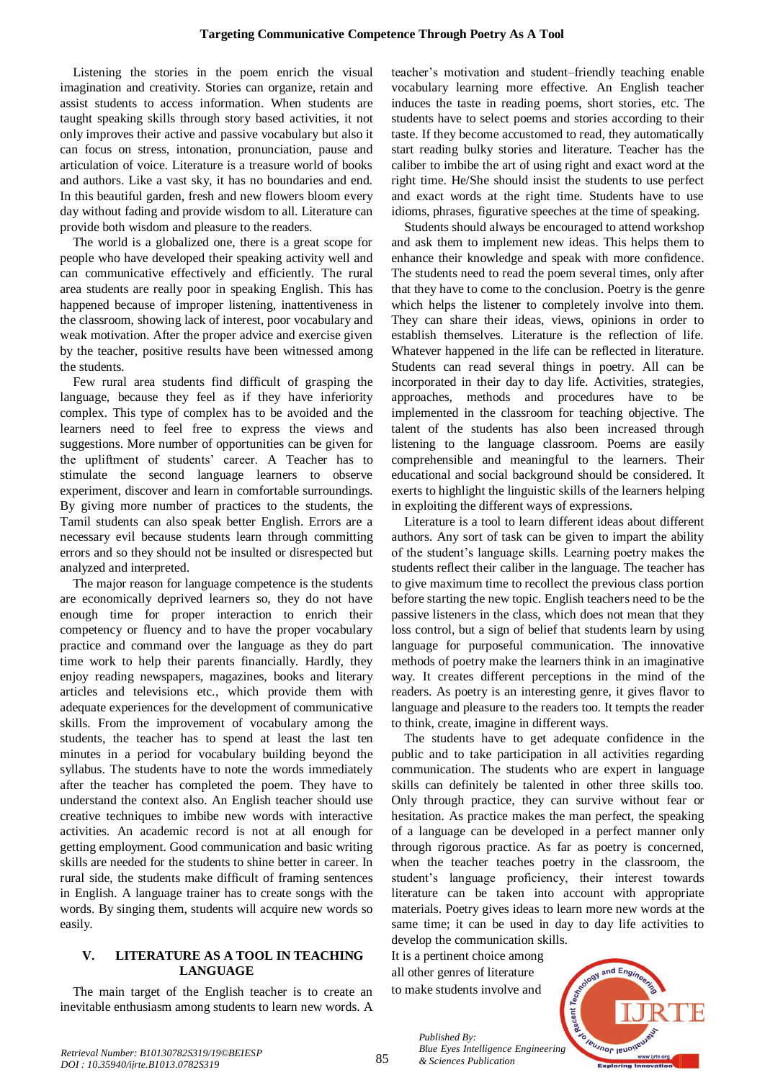Listening the stories in the poem enrich the visual imagination and creativity. Stories can organize, retain and assist students to access information. When students are taught speaking skills through story based activities, it not only improves their active and passive vocabulary but also it can focus on stress, intonation, pronunciation, pause and articulation of voice. Literature is a treasure world of books and authors. Like a vast sky, it has no boundaries and end. In this beautiful garden, fresh and new flowers bloom every day without fading and provide wisdom to all. Literature can provide both wisdom and pleasure to the readers.

The world is a globalized one, there is a great scope for people who have developed their speaking activity well and can communicative effectively and efficiently. The rural area students are really poor in speaking English. This has happened because of improper listening, inattentiveness in the classroom, showing lack of interest, poor vocabulary and weak motivation. After the proper advice and exercise given by the teacher, positive results have been witnessed among the students.

Few rural area students find difficult of grasping the language, because they feel as if they have inferiority complex. This type of complex has to be avoided and the learners need to feel free to express the views and suggestions. More number of opportunities can be given for the upliftment of students' career. A Teacher has to stimulate the second language learners to observe experiment, discover and learn in comfortable surroundings. By giving more number of practices to the students, the Tamil students can also speak better English. Errors are a necessary evil because students learn through committing errors and so they should not be insulted or disrespected but analyzed and interpreted.

The major reason for language competence is the students are economically deprived learners so, they do not have enough time for proper interaction to enrich their competency or fluency and to have the proper vocabulary practice and command over the language as they do part time work to help their parents financially. Hardly, they enjoy reading newspapers, magazines, books and literary articles and televisions etc., which provide them with adequate experiences for the development of communicative skills. From the improvement of vocabulary among the students, the teacher has to spend at least the last ten minutes in a period for vocabulary building beyond the syllabus. The students have to note the words immediately after the teacher has completed the poem. They have to understand the context also. An English teacher should use creative techniques to imbibe new words with interactive activities. An academic record is not at all enough for getting employment. Good communication and basic writing skills are needed for the students to shine better in career. In rural side, the students make difficult of framing sentences in English. A language trainer has to create songs with the words. By singing them, students will acquire new words so easily.

# **V. LITERATURE AS A TOOL IN TEACHING LANGUAGE**

The main target of the English teacher is to create an inevitable enthusiasm among students to learn new words. A

teacher's motivation and student–friendly teaching enable vocabulary learning more effective. An English teacher induces the taste in reading poems, short stories, etc. The students have to select poems and stories according to their taste. If they become accustomed to read, they automatically start reading bulky stories and literature. Teacher has the caliber to imbibe the art of using right and exact word at the right time. He/She should insist the students to use perfect and exact words at the right time. Students have to use idioms, phrases, figurative speeches at the time of speaking.

Students should always be encouraged to attend workshop and ask them to implement new ideas. This helps them to enhance their knowledge and speak with more confidence. The students need to read the poem several times, only after that they have to come to the conclusion. Poetry is the genre which helps the listener to completely involve into them. They can share their ideas, views, opinions in order to establish themselves. Literature is the reflection of life. Whatever happened in the life can be reflected in literature. Students can read several things in poetry. All can be incorporated in their day to day life. Activities, strategies, approaches, methods and procedures have to be implemented in the classroom for teaching objective. The talent of the students has also been increased through listening to the language classroom. Poems are easily comprehensible and meaningful to the learners. Their educational and social background should be considered. It exerts to highlight the linguistic skills of the learners helping in exploiting the different ways of expressions.

Literature is a tool to learn different ideas about different authors. Any sort of task can be given to impart the ability of the student's language skills. Learning poetry makes the students reflect their caliber in the language. The teacher has to give maximum time to recollect the previous class portion before starting the new topic. English teachers need to be the passive listeners in the class, which does not mean that they loss control, but a sign of belief that students learn by using language for purposeful communication. The innovative methods of poetry make the learners think in an imaginative way. It creates different perceptions in the mind of the readers. As poetry is an interesting genre, it gives flavor to language and pleasure to the readers too. It tempts the reader to think, create, imagine in different ways.

The students have to get adequate confidence in the public and to take participation in all activities regarding communication. The students who are expert in language skills can definitely be talented in other three skills too. Only through practice, they can survive without fear or hesitation. As practice makes the man perfect, the speaking of a language can be developed in a perfect manner only through rigorous practice. As far as poetry is concerned, when the teacher teaches poetry in the classroom, the student's language proficiency, their interest towards literature can be taken into account with appropriate materials. Poetry gives ideas to learn more new words at the same time; it can be used in day to day life activities to develop the communication skills.

It is a pertinent choice among all other genres of literature to make students involve and

*& Sciences Publication* 

*Published By:*

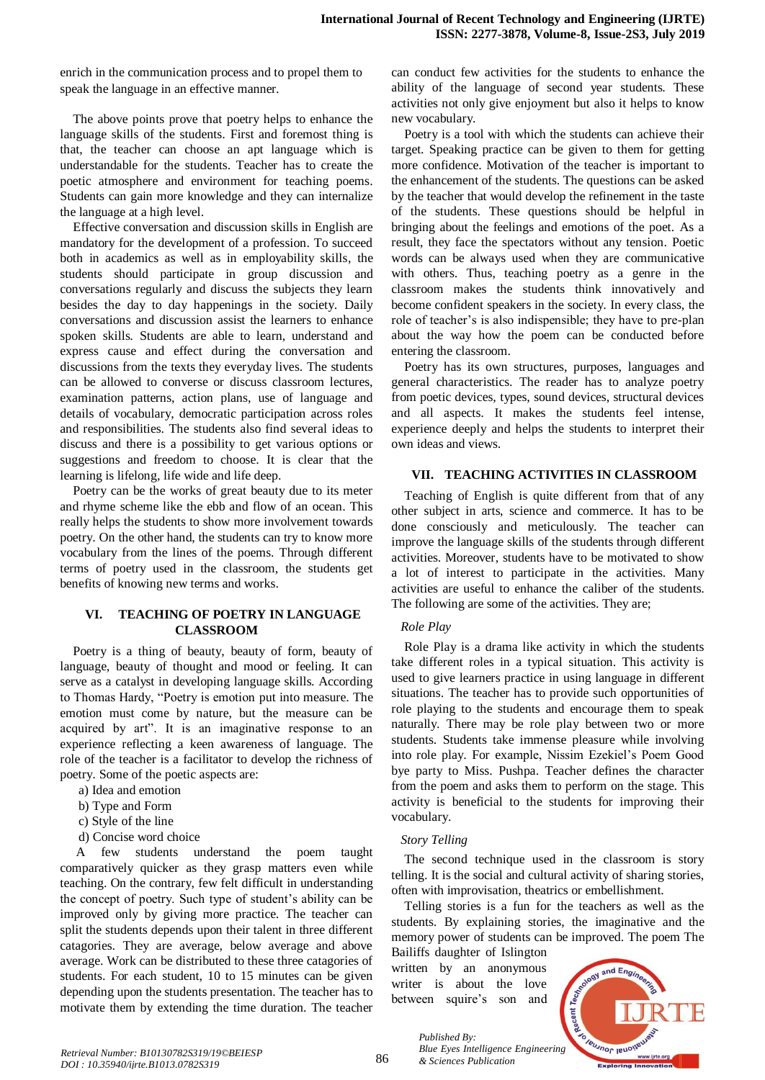enrich in the communication process and to propel them to speak the language in an effective manner.

The above points prove that poetry helps to enhance the language skills of the students. First and foremost thing is that, the teacher can choose an apt language which is understandable for the students. Teacher has to create the poetic atmosphere and environment for teaching poems. Students can gain more knowledge and they can internalize the language at a high level.

Effective conversation and discussion skills in English are mandatory for the development of a profession. To succeed both in academics as well as in employability skills, the students should participate in group discussion and conversations regularly and discuss the subjects they learn besides the day to day happenings in the society. Daily conversations and discussion assist the learners to enhance spoken skills. Students are able to learn, understand and express cause and effect during the conversation and discussions from the texts they everyday lives. The students can be allowed to converse or discuss classroom lectures, examination patterns, action plans, use of language and details of vocabulary, democratic participation across roles and responsibilities. The students also find several ideas to discuss and there is a possibility to get various options or suggestions and freedom to choose. It is clear that the learning is lifelong, life wide and life deep.

Poetry can be the works of great beauty due to its meter and rhyme scheme like the ebb and flow of an ocean. This really helps the students to show more involvement towards poetry. On the other hand, the students can try to know more vocabulary from the lines of the poems. Through different terms of poetry used in the classroom, the students get benefits of knowing new terms and works.

## **VI. TEACHING OF POETRY IN LANGUAGE CLASSROOM**

Poetry is a thing of beauty, beauty of form, beauty of language, beauty of thought and mood or feeling. It can serve as a catalyst in developing language skills. According to Thomas Hardy, "Poetry is emotion put into measure. The emotion must come by nature, but the measure can be acquired by art". It is an imaginative response to an experience reflecting a keen awareness of language. The role of the teacher is a facilitator to develop the richness of poetry. Some of the poetic aspects are:

- a) Idea and emotion
- b) Type and Form
- c) Style of the line
- d) Concise word choice

A few students understand the poem taught comparatively quicker as they grasp matters even while teaching. On the contrary, few felt difficult in understanding the concept of poetry. Such type of student's ability can be improved only by giving more practice. The teacher can split the students depends upon their talent in three different catagories. They are average, below average and above average. Work can be distributed to these three catagories of students. For each student, 10 to 15 minutes can be given depending upon the students presentation. The teacher has to motivate them by extending the time duration. The teacher

can conduct few activities for the students to enhance the ability of the language of second year students. These activities not only give enjoyment but also it helps to know new vocabulary.

Poetry is a tool with which the students can achieve their target. Speaking practice can be given to them for getting more confidence. Motivation of the teacher is important to the enhancement of the students. The questions can be asked by the teacher that would develop the refinement in the taste of the students. These questions should be helpful in bringing about the feelings and emotions of the poet. As a result, they face the spectators without any tension. Poetic words can be always used when they are communicative with others. Thus, teaching poetry as a genre in the classroom makes the students think innovatively and become confident speakers in the society. In every class, the role of teacher's is also indispensible; they have to pre-plan about the way how the poem can be conducted before entering the classroom.

Poetry has its own structures, purposes, languages and general characteristics. The reader has to analyze poetry from poetic devices, types, sound devices, structural devices and all aspects. It makes the students feel intense, experience deeply and helps the students to interpret their own ideas and views.

## **VII. TEACHING ACTIVITIES IN CLASSROOM**

Teaching of English is quite different from that of any other subject in arts, science and commerce. It has to be done consciously and meticulously. The teacher can improve the language skills of the students through different activities. Moreover, students have to be motivated to show a lot of interest to participate in the activities. Many activities are useful to enhance the caliber of the students. The following are some of the activities. They are;

#### *Role Play*

Role Play is a drama like activity in which the students take different roles in a typical situation. This activity is used to give learners practice in using language in different situations. The teacher has to provide such opportunities of role playing to the students and encourage them to speak naturally. There may be role play between two or more students. Students take immense pleasure while involving into role play. For example, Nissim Ezekiel's Poem Good bye party to Miss. Pushpa. Teacher defines the character from the poem and asks them to perform on the stage. This activity is beneficial to the students for improving their vocabulary.

#### *Story Telling*

The second technique used in the classroom is story telling. It is the social and cultural activity of sharing stories, often with improvisation, theatrics or embellishment.

Telling stories is a fun for the teachers as well as the students. By explaining stories, the imaginative and the memory power of students can be improved. The poem The

Bailiffs daughter of Islington written by an anonymous writer is about the love between squire's son and

*& Sciences Publication* 

*Published By:*

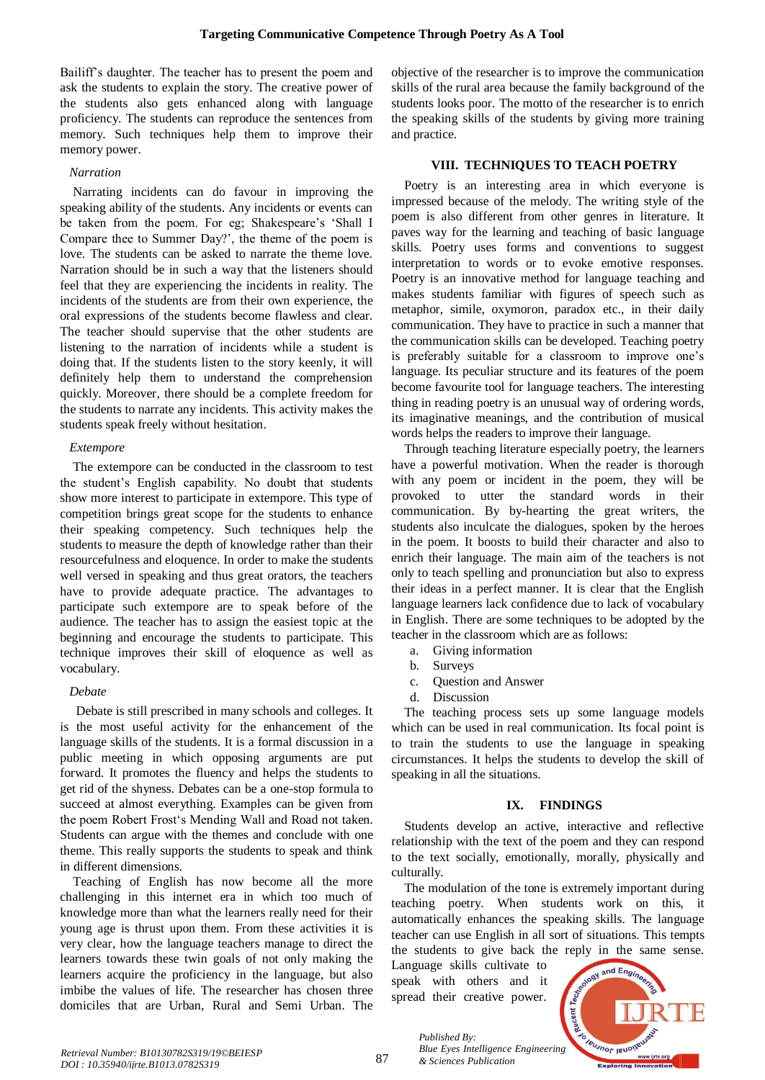Bailiff's daughter. The teacher has to present the poem and ask the students to explain the story. The creative power of the students also gets enhanced along with language proficiency. The students can reproduce the sentences from memory. Such techniques help them to improve their memory power.

# *Narration*

Narrating incidents can do favour in improving the speaking ability of the students. Any incidents or events can be taken from the poem. For eg; Shakespeare's 'Shall I Compare thee to Summer Day?', the theme of the poem is love. The students can be asked to narrate the theme love. Narration should be in such a way that the listeners should feel that they are experiencing the incidents in reality. The incidents of the students are from their own experience, the oral expressions of the students become flawless and clear. The teacher should supervise that the other students are listening to the narration of incidents while a student is doing that. If the students listen to the story keenly, it will definitely help them to understand the comprehension quickly. Moreover, there should be a complete freedom for the students to narrate any incidents. This activity makes the students speak freely without hesitation.

# *Extempore*

The extempore can be conducted in the classroom to test the student's English capability. No doubt that students show more interest to participate in extempore. This type of competition brings great scope for the students to enhance their speaking competency. Such techniques help the students to measure the depth of knowledge rather than their resourcefulness and eloquence. In order to make the students well versed in speaking and thus great orators, the teachers have to provide adequate practice. The advantages to participate such extempore are to speak before of the audience. The teacher has to assign the easiest topic at the beginning and encourage the students to participate. This technique improves their skill of eloquence as well as vocabulary.

## *Debate*

Debate is still prescribed in many schools and colleges. It is the most useful activity for the enhancement of the language skills of the students. It is a formal discussion in a public meeting in which opposing arguments are put forward. It promotes the fluency and helps the students to get rid of the shyness. Debates can be a one-stop formula to succeed at almost everything. Examples can be given from the poem Robert Frost's Mending Wall and Road not taken. Students can argue with the themes and conclude with one theme. This really supports the students to speak and think in different dimensions.

Teaching of English has now become all the more challenging in this internet era in which too much of knowledge more than what the learners really need for their young age is thrust upon them. From these activities it is very clear, how the language teachers manage to direct the learners towards these twin goals of not only making the learners acquire the proficiency in the language, but also imbibe the values of life. The researcher has chosen three domiciles that are Urban, Rural and Semi Urban. The objective of the researcher is to improve the communication skills of the rural area because the family background of the students looks poor. The motto of the researcher is to enrich the speaking skills of the students by giving more training and practice.

# **VIII. TECHNIQUES TO TEACH POETRY**

Poetry is an interesting area in which everyone is impressed because of the melody. The writing style of the poem is also different from other genres in literature. It paves way for the learning and teaching of basic language skills. Poetry uses forms and conventions to suggest interpretation to words or to evoke emotive responses. Poetry is an innovative method for language teaching and makes students familiar with figures of speech such as metaphor, simile, oxymoron, paradox etc., in their daily communication. They have to practice in such a manner that the communication skills can be developed. Teaching poetry is preferably suitable for a classroom to improve one's language. Its peculiar structure and its features of the poem become favourite tool for language teachers. The interesting thing in reading poetry is an unusual way of ordering words, its imaginative meanings, and the contribution of musical words helps the readers to improve their language.

Through teaching literature especially poetry, the learners have a powerful motivation. When the reader is thorough with any poem or incident in the poem, they will be provoked to utter the standard words in their communication. By by-hearting the great writers, the students also inculcate the dialogues, spoken by the heroes in the poem. It boosts to build their character and also to enrich their language. The main aim of the teachers is not only to teach spelling and pronunciation but also to express their ideas in a perfect manner. It is clear that the English language learners lack confidence due to lack of vocabulary in English. There are some techniques to be adopted by the teacher in the classroom which are as follows:

- a. Giving information
- b. Surveys
- c. Question and Answer
- d. Discussion

The teaching process sets up some language models which can be used in real communication. Its focal point is to train the students to use the language in speaking circumstances. It helps the students to develop the skill of speaking in all the situations.

# **IX. FINDINGS**

Students develop an active, interactive and reflective relationship with the text of the poem and they can respond to the text socially, emotionally, morally, physically and culturally.

The modulation of the tone is extremely important during teaching poetry. When students work on this, it automatically enhances the speaking skills. The language teacher can use English in all sort of situations. This tempts the students to give back the reply in the same sense.

Language skills cultivate to speak with others and it spread their creative power.

*& Sciences Publication* 

*Published By:*



87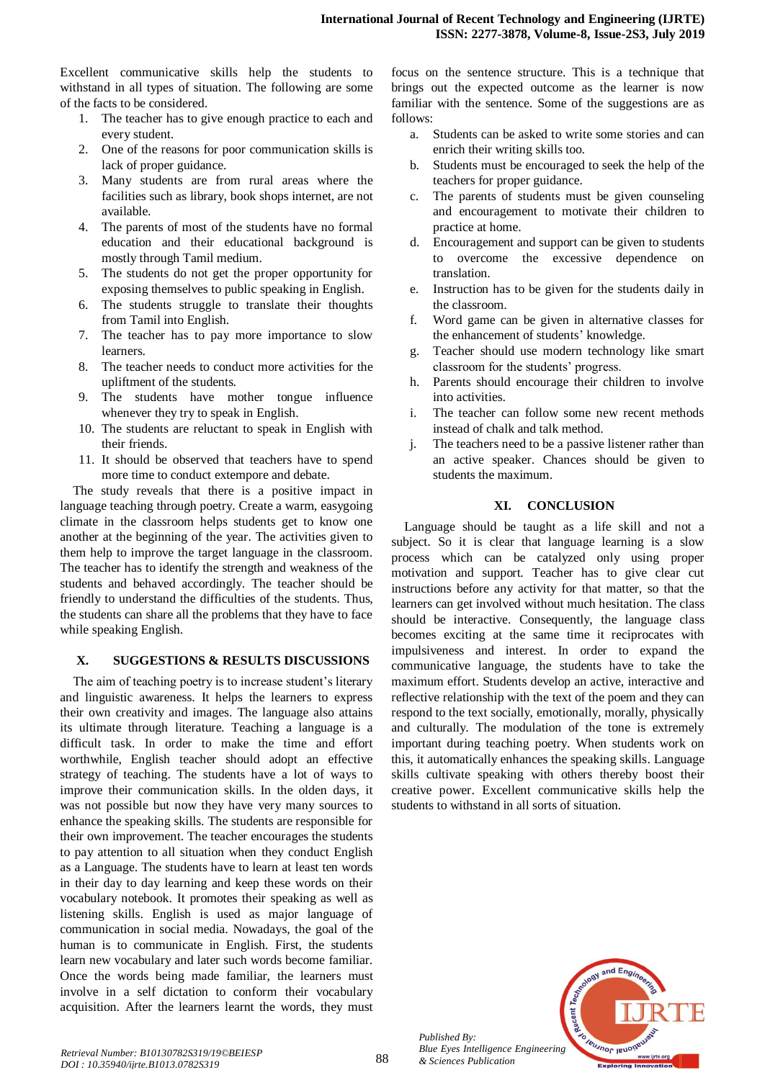Excellent communicative skills help the students to withstand in all types of situation. The following are some of the facts to be considered.

- 1. The teacher has to give enough practice to each and every student.
- 2. One of the reasons for poor communication skills is lack of proper guidance.
- 3. Many students are from rural areas where the facilities such as library, book shops internet, are not available.
- 4. The parents of most of the students have no formal education and their educational background is mostly through Tamil medium.
- 5. The students do not get the proper opportunity for exposing themselves to public speaking in English.
- 6. The students struggle to translate their thoughts from Tamil into English.
- 7. The teacher has to pay more importance to slow learners.
- 8. The teacher needs to conduct more activities for the upliftment of the students.
- 9. The students have mother tongue influence whenever they try to speak in English.
- 10. The students are reluctant to speak in English with their friends.
- 11. It should be observed that teachers have to spend more time to conduct extempore and debate.

The study reveals that there is a positive impact in language teaching through poetry. Create a warm, easygoing climate in the classroom helps students get to know one another at the beginning of the year. The activities given to them help to improve the target language in the classroom. The teacher has to identify the strength and weakness of the students and behaved accordingly. The teacher should be friendly to understand the difficulties of the students. Thus, the students can share all the problems that they have to face while speaking English.

## **X. SUGGESTIONS & RESULTS DISCUSSIONS**

The aim of teaching poetry is to increase student's literary and linguistic awareness. It helps the learners to express their own creativity and images. The language also attains its ultimate through literature. Teaching a language is a difficult task. In order to make the time and effort worthwhile, English teacher should adopt an effective strategy of teaching. The students have a lot of ways to improve their communication skills. In the olden days, it was not possible but now they have very many sources to enhance the speaking skills. The students are responsible for their own improvement. The teacher encourages the students to pay attention to all situation when they conduct English as a Language. The students have to learn at least ten words in their day to day learning and keep these words on their vocabulary notebook. It promotes their speaking as well as listening skills. English is used as major language of communication in social media. Nowadays, the goal of the human is to communicate in English. First, the students learn new vocabulary and later such words become familiar. Once the words being made familiar, the learners must involve in a self dictation to conform their vocabulary acquisition. After the learners learnt the words, they must

focus on the sentence structure. This is a technique that brings out the expected outcome as the learner is now familiar with the sentence. Some of the suggestions are as follows:

- a. Students can be asked to write some stories and can enrich their writing skills too.
- b. Students must be encouraged to seek the help of the teachers for proper guidance.
- c. The parents of students must be given counseling and encouragement to motivate their children to practice at home.
- d. Encouragement and support can be given to students to overcome the excessive dependence on translation.
- e. Instruction has to be given for the students daily in the classroom.
- f. Word game can be given in alternative classes for the enhancement of students' knowledge.
- g. Teacher should use modern technology like smart classroom for the students' progress.
- h. Parents should encourage their children to involve into activities.
- i. The teacher can follow some new recent methods instead of chalk and talk method.
- j. The teachers need to be a passive listener rather than an active speaker. Chances should be given to students the maximum.

## **XI. CONCLUSION**

Language should be taught as a life skill and not a subject. So it is clear that language learning is a slow process which can be catalyzed only using proper motivation and support. Teacher has to give clear cut instructions before any activity for that matter, so that the learners can get involved without much hesitation. The class should be interactive. Consequently, the language class becomes exciting at the same time it reciprocates with impulsiveness and interest. In order to expand the communicative language, the students have to take the maximum effort. Students develop an active, interactive and reflective relationship with the text of the poem and they can respond to the text socially, emotionally, morally, physically and culturally. The modulation of the tone is extremely important during teaching poetry. When students work on this, it automatically enhances the speaking skills. Language skills cultivate speaking with others thereby boost their creative power. Excellent communicative skills help the students to withstand in all sorts of situation.



*Published By:*

*& Sciences Publication*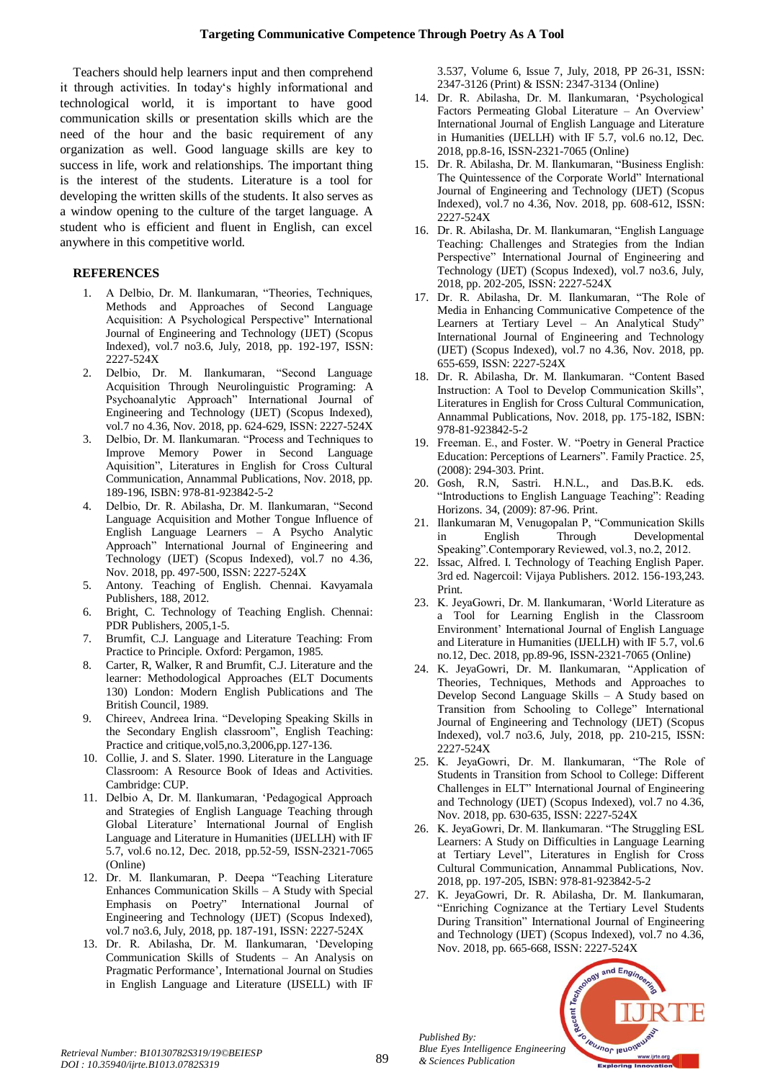Teachers should help learners input and then comprehend it through activities. In today's highly informational and technological world, it is important to have good communication skills or presentation skills which are the need of the hour and the basic requirement of any organization as well. Good language skills are key to success in life, work and relationships. The important thing is the interest of the students. Literature is a tool for developing the written skills of the students. It also serves as a window opening to the culture of the target language. A student who is efficient and fluent in English, can excel anywhere in this competitive world.

# **REFERENCES**

- 1. A Delbio, Dr. M. Ilankumaran, "Theories, Techniques, Methods and Approaches of Second Language Acquisition: A Psychological Perspective" International Journal of Engineering and Technology (IJET) (Scopus Indexed), vol.7 no3.6, July, 2018, pp. 192-197, ISSN: 2227-524X
- 2. Delbio, Dr. M. Ilankumaran, "Second Language Acquisition Through Neurolinguistic Programing: A Psychoanalytic Approach" International Journal of Engineering and Technology (IJET) (Scopus Indexed), vol.7 no 4.36, Nov. 2018, pp. 624-629, ISSN: 2227-524X
- 3. Delbio, Dr. M. Ilankumaran. "Process and Techniques to Improve Memory Power in Second Language Aquisition", Literatures in English for Cross Cultural Communication, Annammal Publications, Nov. 2018, pp. 189-196, ISBN: 978-81-923842-5-2
- 4. Delbio, Dr. R. Abilasha, Dr. M. Ilankumaran, "Second Language Acquisition and Mother Tongue Influence of English Language Learners – A Psycho Analytic Approach" International Journal of Engineering and Technology (IJET) (Scopus Indexed), vol.7 no 4.36, Nov. 2018, pp. 497-500, ISSN: 2227-524X
- 5. Antony. Teaching of English. Chennai. Kavyamala Publishers, 188, 2012.
- 6. Bright, C. Technology of Teaching English. Chennai: PDR Publishers, 2005,1-5.
- 7. Brumfit, C.J. Language and Literature Teaching: From Practice to Principle. Oxford: Pergamon, 1985.
- Carter, R, Walker, R and Brumfit, C.J. Literature and the learner: Methodological Approaches (ELT Documents 130) London: Modern English Publications and The British Council, 1989.
- 9. Chireev, Andreea Irina. "Developing Speaking Skills in the Secondary English classroom", English Teaching: Practice and critique,vol5,no.3,2006,pp.127-136.
- 10. Collie, J. and S. Slater. 1990. Literature in the Language Classroom: A Resource Book of Ideas and Activities. Cambridge: CUP.
- 11. Delbio A, Dr. M. Ilankumaran, 'Pedagogical Approach and Strategies of English Language Teaching through Global Literature' International Journal of English Language and Literature in Humanities (IJELLH) with IF 5.7, vol.6 no.12, Dec. 2018, pp.52-59, ISSN-2321-7065 (Online)
- 12. Dr. M. Ilankumaran, P. Deepa "Teaching Literature Enhances Communication Skills – A Study with Special Emphasis on Poetry" International Journal of Engineering and Technology (IJET) (Scopus Indexed), vol.7 no3.6, July, 2018, pp. 187-191, ISSN: 2227-524X
- 13. Dr. R. Abilasha, Dr. M. Ilankumaran, 'Developing Communication Skills of Students – An Analysis on Pragmatic Performance', International Journal on Studies in English Language and Literature (IJSELL) with IF

3.537, Volume 6, Issue 7, July, 2018, PP 26-31, ISSN: 2347-3126 (Print) & ISSN: 2347-3134 (Online)

- 14. Dr. R. Abilasha, Dr. M. Ilankumaran, 'Psychological Factors Permeating Global Literature – An Overview' International Journal of English Language and Literature in Humanities (IJELLH) with IF 5.7, vol.6 no.12, Dec. 2018, pp.8-16, ISSN-2321-7065 (Online)
- 15. Dr. R. Abilasha, Dr. M. Ilankumaran, "Business English: The Quintessence of the Corporate World" International Journal of Engineering and Technology (IJET) (Scopus Indexed), vol.7 no 4.36, Nov. 2018, pp. 608-612, ISSN: 2227-524X
- 16. Dr. R. Abilasha, Dr. M. Ilankumaran, "English Language Teaching: Challenges and Strategies from the Indian Perspective" International Journal of Engineering and Technology (IJET) (Scopus Indexed), vol.7 no3.6, July, 2018, pp. 202-205, ISSN: 2227-524X
- 17. Dr. R. Abilasha, Dr. M. Ilankumaran, "The Role of Media in Enhancing Communicative Competence of the Learners at Tertiary Level – An Analytical Study" International Journal of Engineering and Technology (IJET) (Scopus Indexed), vol.7 no 4.36, Nov. 2018, pp. 655-659, ISSN: 2227-524X
- 18. Dr. R. Abilasha, Dr. M. Ilankumaran. "Content Based Instruction: A Tool to Develop Communication Skills", Literatures in English for Cross Cultural Communication, Annammal Publications, Nov. 2018, pp. 175-182, ISBN: 978-81-923842-5-2
- 19. Freeman. E., and Foster. W. "Poetry in General Practice Education: Perceptions of Learners". Family Practice. 25, (2008): 294-303. Print.
- 20. Gosh, R.N, Sastri. H.N.L., and Das.B.K. eds. "Introductions to English Language Teaching": Reading Horizons. 34, (2009): 87-96. Print.
- 21. Ilankumaran M, Venugopalan P, "Communication Skills in English Through Developmental Speaking".Contemporary Reviewed, vol.3, no.2, 2012.
- 22. Issac, Alfred. I. Technology of Teaching English Paper. 3rd ed. Nagercoil: Vijaya Publishers. 2012. 156-193,243. Print.
- 23. K. JeyaGowri, Dr. M. Ilankumaran, 'World Literature as a Tool for Learning English in the Classroom Environment' International Journal of English Language and Literature in Humanities (IJELLH) with IF 5.7, vol.6 no.12, Dec. 2018, pp.89-96, ISSN-2321-7065 (Online)
- 24. K. JeyaGowri, Dr. M. Ilankumaran, "Application of Theories, Techniques, Methods and Approaches to Develop Second Language Skills – A Study based on Transition from Schooling to College" International Journal of Engineering and Technology (IJET) (Scopus Indexed), vol.7 no3.6, July, 2018, pp. 210-215, ISSN: 2227-524X
- 25. K. JeyaGowri, Dr. M. Ilankumaran, "The Role of Students in Transition from School to College: Different Challenges in ELT" International Journal of Engineering and Technology (IJET) (Scopus Indexed), vol.7 no 4.36, Nov. 2018, pp. 630-635, ISSN: 2227-524X
- 26. K. JeyaGowri, Dr. M. Ilankumaran. "The Struggling ESL Learners: A Study on Difficulties in Language Learning at Tertiary Level", Literatures in English for Cross Cultural Communication, Annammal Publications, Nov. 2018, pp. 197-205, ISBN: 978-81-923842-5-2
- 27. K. JeyaGowri, Dr. R. Abilasha, Dr. M. Ilankumaran, "Enriching Cognizance at the Tertiary Level Students During Transition" International Journal of Engineering and Technology (IJET) (Scopus Indexed), vol.7 no 4.36, Nov. 2018, pp. 665-668, ISSN: 2227-524X



*Published By:*

*& Sciences Publication*